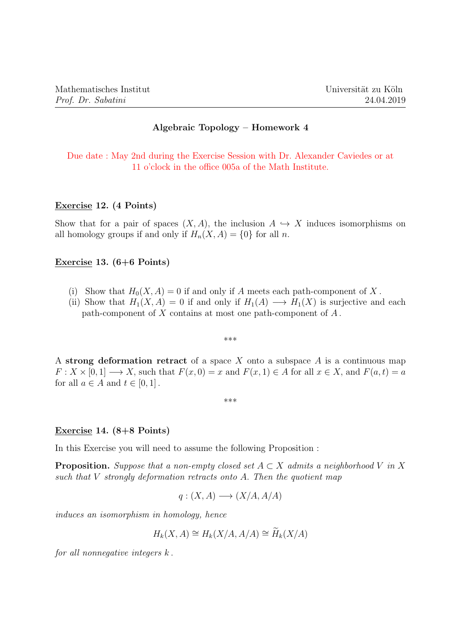# Algebraic Topology – Homework 4

Due date : May 2nd during the Exercise Session with Dr. Alexander Caviedes or at 11 o'clock in the office 005a of the Math Institute.

### Exercise 12. (4 Points)

Show that for a pair of spaces  $(X, A)$ , the inclusion  $A \hookrightarrow X$  induces isomorphisms on all homology groups if and only if  $H_n(X, A) = \{0\}$  for all n.

## Exercise 13. (6+6 Points)

- (i) Show that  $H_0(X, A) = 0$  if and only if A meets each path-component of X.
- (ii) Show that  $H_1(X, A) = 0$  if and only if  $H_1(A) \longrightarrow H_1(X)$  is surjective and each path-component of X contains at most one path-component of  $A$ .

\*\*\*

A strong deformation retract of a space  $X$  onto a subspace  $A$  is a continuous map  $F: X \times [0,1] \longrightarrow X$ , such that  $F(x, 0) = x$  and  $F(x, 1) \in A$  for all  $x \in X$ , and  $F(a, t) = a$ for all  $a \in A$  and  $t \in [0, 1]$ .

\*\*\*

### Exercise 14. (8+8 Points)

In this Exercise you will need to assume the following Proposition :

**Proposition.** Suppose that a non-empty closed set  $A \subset X$  admits a neighborhood V in X such that  $V$  strongly deformation retracts onto  $A$ . Then the quotient map

$$
q:(X,A)\longrightarrow (X/A,A/A)
$$

induces an isomorphism in homology, hence

$$
H_k(X, A) \cong H_k(X/A, A/A) \cong \widetilde{H}_k(X/A)
$$

for all nonnegative integers  $k$ .